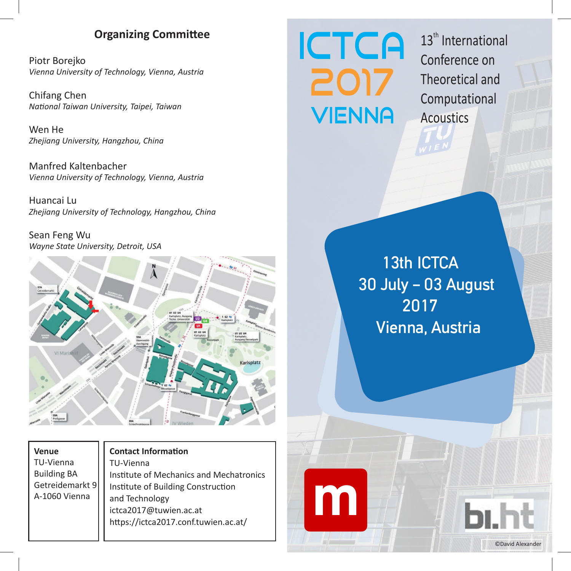### **Organizing Committee**

Piotr Borejko Vienna University of Technology, Vienna, Austria

Chifang Chen National Taiwan University, Taipei, Taiwan

Wen He Zhejiang University, Hangzhou, China

Manfred Kaltenbacher Vienna University of Technology, Vienna, Austria

Huancai Lu Zhejiang University of Technology, Hangzhou, China

Sean Feng Wu Wayne State University, Detroit, USA



| <b>Venue</b>       |
|--------------------|
| TU-Vienna          |
| <b>Building BA</b> |
| Getreidemarkt 9    |
| A-1060 Vienna      |

#### **Contact Information** TU-Vienna Institute of Mechanics and Mechatronics Institute of Building Construction and Technology ictca2017@tuwien.ac.at https://ictca2017.conf.tuwien.ac.at/

# **ICTCA** 2017 **VIENNA**

m

 $13<sup>th</sup>$  International Conference on Theoretical and Computational **Acoustics** 

13th ICTCA 30 July - 03 August 2017 Vienna, Austria

© David Alexander